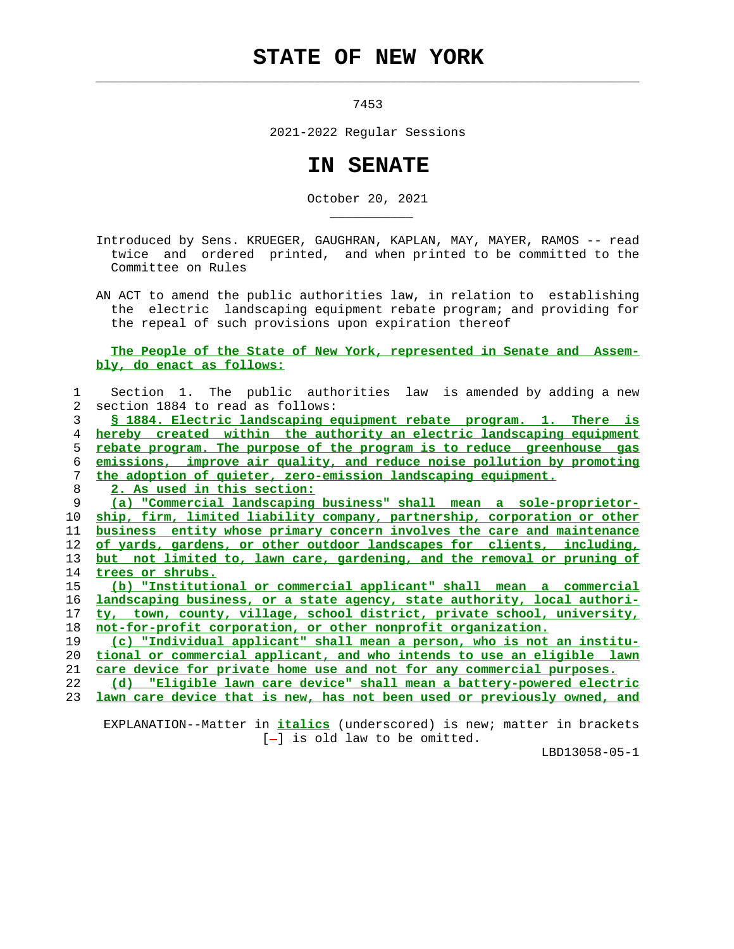## **STATE OF NEW YORK**

 $\mathcal{L}_\text{max} = \frac{1}{2} \sum_{i=1}^{n} \frac{1}{2} \sum_{i=1}^{n} \frac{1}{2} \sum_{i=1}^{n} \frac{1}{2} \sum_{i=1}^{n} \frac{1}{2} \sum_{i=1}^{n} \frac{1}{2} \sum_{i=1}^{n} \frac{1}{2} \sum_{i=1}^{n} \frac{1}{2} \sum_{i=1}^{n} \frac{1}{2} \sum_{i=1}^{n} \frac{1}{2} \sum_{i=1}^{n} \frac{1}{2} \sum_{i=1}^{n} \frac{1}{2} \sum_{i=1}^{n} \frac{1$ 

\_\_\_\_\_\_\_\_\_\_\_

7453

2021-2022 Regular Sessions

## **IN SENATE**

October 20, 2021

 Introduced by Sens. KRUEGER, GAUGHRAN, KAPLAN, MAY, MAYER, RAMOS -- read twice and ordered printed, and when printed to be committed to the Committee on Rules

 AN ACT to amend the public authorities law, in relation to establishing the electric landscaping equipment rebate program; and providing for the repeal of such provisions upon expiration thereof

## **The People of the State of New York, represented in Senate and Assem bly, do enact as follows:**

|    | Section 1. The public authorities law is amended by adding a new               |
|----|--------------------------------------------------------------------------------|
| 2  | section 1884 to read as follows:                                               |
| 3  | § 1884. Electric landscaping equipment rebate program. 1. There is             |
| 4  | hereby created within the authority an electric landscaping equipment          |
| 5  | rebate program. The purpose of the program is to reduce greenhouse gas         |
| 6  | emissions, improve air quality, and reduce noise pollution by promoting        |
| 7  | the adoption of quieter, zero-emission landscaping equipment.                  |
| 8  | 2. As used in this section:                                                    |
| 9  | (a) "Commercial landscaping business" shall mean a sole-proprietor-            |
| 10 | ship, firm, limited liability company, partnership, corporation or other       |
| 11 | business entity whose primary concern involves the care and maintenance        |
| 12 | of yards, gardens, or other outdoor landscapes for clients, including,         |
| 13 | <u>but not limited to, lawn care, gardening, and the removal or pruning of</u> |
| 14 | trees or shrubs.                                                               |
| 15 | (b) "Institutional or commercial applicant" shall mean a commercial            |
| 16 | landscaping business, or a state agency, state authority, local authori-       |
| 17 | ty, town, county, village, school district, private school, university,        |
| 18 | not-for-profit corporation, or other nonprofit organization.                   |
| 19 | (c) "Individual applicant" shall mean a person, who is not an institu-         |
| 20 | tional or commercial applicant, and who intends to use an eligible lawn        |
| 21 | care device for private home use and not for any commercial purposes.          |
| 22 | "Eligible lawn care device" shall mean a battery-powered electric<br>(d)       |
| 23 | lawn care device that is new, has not been used or previously owned, and       |
|    |                                                                                |

 EXPLANATION--Matter in **italics** (underscored) is new; matter in brackets [-] is old law to be omitted.

LBD13058-05-1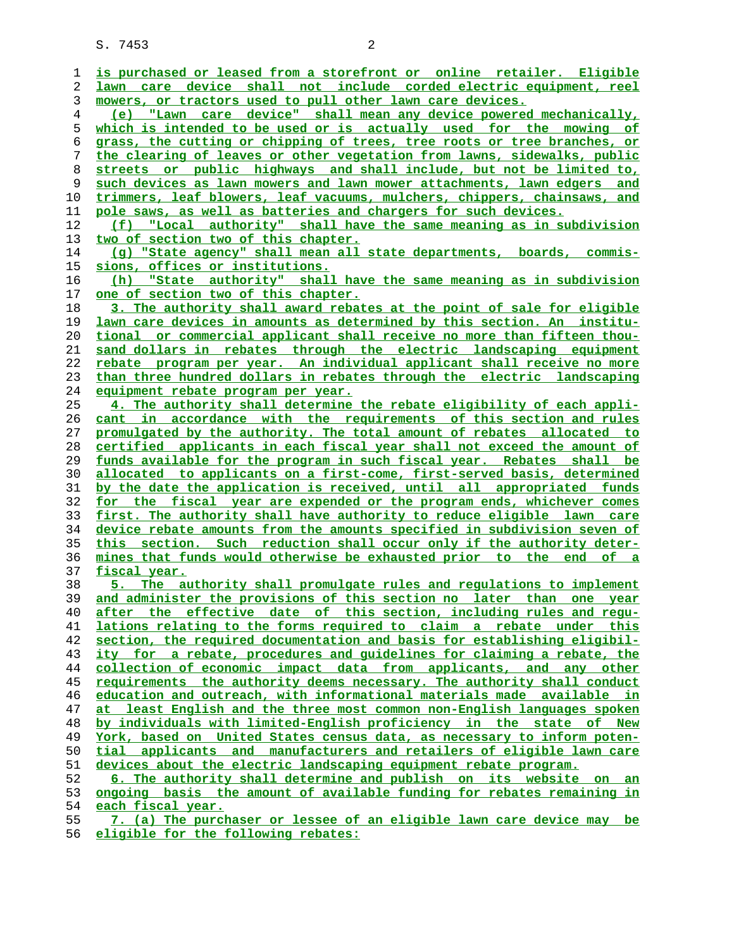S. 7453 2

| 1              | is purchased or leased from a storefront or online retailer. Eligible                                                                           |
|----------------|-------------------------------------------------------------------------------------------------------------------------------------------------|
| 2              | lawn care device shall not include corded electric equipment, reel                                                                              |
| 3              | mowers, or tractors used to pull other lawn care devices.                                                                                       |
| $\overline{4}$ | (e) "Lawn care device" shall mean any device powered mechanically,                                                                              |
| 5              | which is intended to be used or is actually used for the mowing of                                                                              |
| 6              | grass, the cutting or chipping of trees, tree roots or tree branches, or                                                                        |
| 7              | the clearing of leaves or other vegetation from lawns, sidewalks, public                                                                        |
| 8              | streets or public highways and shall include, but not be limited to,                                                                            |
| 9              | such devices as lawn mowers and lawn mower attachments, lawn edgers and                                                                         |
| 10             | trimmers, leaf blowers, leaf vacuums, mulchers, chippers, chainsaws, and                                                                        |
| 11             | pole saws, as well as batteries and chargers for such devices.                                                                                  |
| 12             | (f) "Local authority" shall have the same meaning as in subdivision                                                                             |
| 13             | two of section two of this chapter.                                                                                                             |
| 14             | (g) "State agency" shall mean all state departments, boards, commis-                                                                            |
| 15             | sions, offices or institutions.                                                                                                                 |
| 16             | (h) "State authority" shall have the same meaning as in subdivision                                                                             |
| 17             | one of section two of this chapter.                                                                                                             |
| 18             | 3. The authority shall award rebates at the point of sale for eligible                                                                          |
| 19             | lawn care devices in amounts as determined by this section. An institu-                                                                         |
| 20             | tional or commercial applicant shall receive no more than fifteen thou-                                                                         |
| 21             | sand dollars in rebates through the electric landscaping equipment                                                                              |
| 22             | rebate program per year. An individual applicant shall receive no more                                                                          |
| 23             | than three hundred dollars in rebates through the electric landscaping                                                                          |
| 24             | equipment rebate program per year.                                                                                                              |
| 25             | 4. The authority shall determine the rebate eligibility of each appli-                                                                          |
| 26             | cant in accordance with the requirements of this section and rules                                                                              |
| 27             | promulgated by the authority. The total amount of rebates allocated to                                                                          |
| 28             | certified applicants in each fiscal year shall not exceed the amount of                                                                         |
| 29             | funds available for the program in such fiscal year. Rebates shall be                                                                           |
| 30             | allocated to applicants on a first-come, first-served basis, determined                                                                         |
| 31             | by the date the application is received, until all appropriated funds                                                                           |
| 32             | for the fiscal year are expended or the program ends, whichever comes<br>first. The authority shall have authority to reduce eligible lawn care |
| 33             | device rebate amounts from the amounts specified in subdivision seven of                                                                        |
| 34<br>35       | this section. Such reduction shall occur only if the authority deter-                                                                           |
| 36             | mines that funds would otherwise be exhausted prior to the end of a                                                                             |
| 37             | fiscal year.                                                                                                                                    |
| 38             | 5. The authority shall promulgate rules and requlations to implement                                                                            |
| 39             | and administer the provisions of this section no later than one year                                                                            |
| 40             | after the effective date of this section, including rules and regu-                                                                             |
| 41             | lations relating to the forms required to claim a rebate under this                                                                             |
| 42             | section, the required documentation and basis for establishing eligibil-                                                                        |
| 43             | ity for a rebate, procedures and quidelines for claiming a rebate, the                                                                          |
| 44             | collection of economic impact data from applicants, and any other                                                                               |
| 45             | requirements the authority deems necessary. The authority shall conduct                                                                         |
| 46             | education and outreach, with informational materials made available in                                                                          |
| 47             | at least English and the three most common non-English languages spoken                                                                         |
| 48             | by individuals with limited-English proficiency in the state of New                                                                             |
| 49             | York, based on United States census data, as necessary to inform poten-                                                                         |
| 50             | tial applicants and manufacturers and retailers of eligible lawn care                                                                           |
| 51             | devices about the electric landscaping equipment rebate program.                                                                                |
| 52             | 6. The authority shall determine and publish on its website on an                                                                               |
| 53             | ongoing basis the amount of available funding for rebates remaining in                                                                          |
| 54             | each fiscal year.                                                                                                                               |
| 55             | 7. (a) The purchaser or lessee of an eligible lawn care device may be                                                                           |

**eligible for the following rebates:**